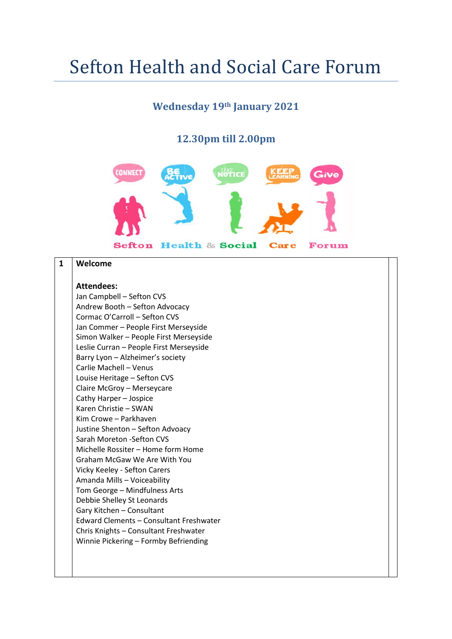# Sefton Health and Social Care Forum

### **Wednesday 19th January 2021**

#### **12.30pm till 2.00pm**



#### **1 Welcome**

## **Attendees:**

Jan Campbell – Sefton CVS Andrew Booth – Sefton Advocacy Cormac O'Carroll – Sefton CVS Jan Commer – People First Merseyside Simon Walker – People First Merseyside Leslie Curran – People First Merseyside Barry Lyon – Alzheimer's society Carlie Machell – Venus Louise Heritage – Sefton CVS Claire McGroy – Merseycare Cathy Harper – Jospice Karen Christie – SWAN Kim Crowe – Parkhaven Justine Shenton – Sefton Advoacy Sarah Moreton -Sefton CVS Michelle Rossiter – Home form Home Graham McGaw We Are With You Vicky Keeley - Sefton Carers Amanda Mills – Voiceability Tom George – Mindfulness Arts Debbie Shelley St Leonards Gary Kitchen – Consultant Edward Clements – Consultant Freshwater Chris Knights – Consultant Freshwater Winnie Pickering – Formby Befriending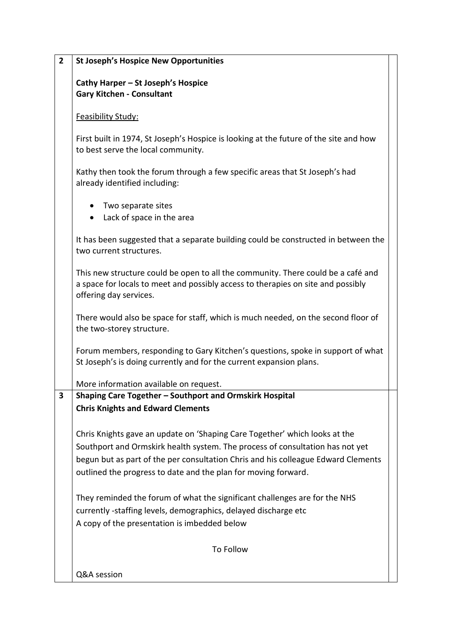| $\overline{2}$ | <b>St Joseph's Hospice New Opportunities</b>                                                                                                                                                                                                                                                                       |  |
|----------------|--------------------------------------------------------------------------------------------------------------------------------------------------------------------------------------------------------------------------------------------------------------------------------------------------------------------|--|
|                | Cathy Harper - St Joseph's Hospice<br><b>Gary Kitchen - Consultant</b>                                                                                                                                                                                                                                             |  |
|                | Feasibility Study:                                                                                                                                                                                                                                                                                                 |  |
|                | First built in 1974, St Joseph's Hospice is looking at the future of the site and how<br>to best serve the local community.                                                                                                                                                                                        |  |
|                | Kathy then took the forum through a few specific areas that St Joseph's had<br>already identified including:                                                                                                                                                                                                       |  |
|                | Two separate sites<br>Lack of space in the area<br>$\bullet$                                                                                                                                                                                                                                                       |  |
|                | It has been suggested that a separate building could be constructed in between the<br>two current structures.                                                                                                                                                                                                      |  |
|                | This new structure could be open to all the community. There could be a café and<br>a space for locals to meet and possibly access to therapies on site and possibly<br>offering day services.                                                                                                                     |  |
|                | There would also be space for staff, which is much needed, on the second floor of<br>the two-storey structure.                                                                                                                                                                                                     |  |
|                | Forum members, responding to Gary Kitchen's questions, spoke in support of what<br>St Joseph's is doing currently and for the current expansion plans.                                                                                                                                                             |  |
|                | More information available on request.                                                                                                                                                                                                                                                                             |  |
| 3              | Shaping Care Together - Southport and Ormskirk Hospital                                                                                                                                                                                                                                                            |  |
|                | <b>Chris Knights and Edward Clements</b>                                                                                                                                                                                                                                                                           |  |
|                | Chris Knights gave an update on 'Shaping Care Together' which looks at the<br>Southport and Ormskirk health system. The process of consultation has not yet<br>begun but as part of the per consultation Chris and his colleague Edward Clements<br>outlined the progress to date and the plan for moving forward. |  |
|                | They reminded the forum of what the significant challenges are for the NHS<br>currently -staffing levels, demographics, delayed discharge etc<br>A copy of the presentation is imbedded below                                                                                                                      |  |
|                | To Follow                                                                                                                                                                                                                                                                                                          |  |
|                | Q&A session                                                                                                                                                                                                                                                                                                        |  |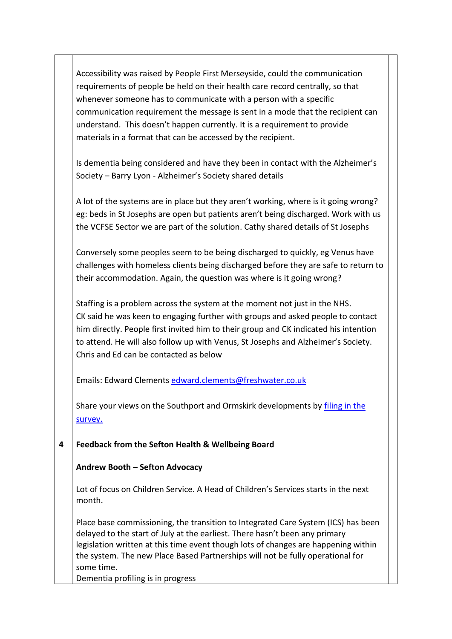|   | Accessibility was raised by People First Merseyside, could the communication<br>requirements of people be held on their health care record centrally, so that<br>whenever someone has to communicate with a person with a specific<br>communication requirement the message is sent in a mode that the recipient can<br>understand. This doesn't happen currently. It is a requirement to provide<br>materials in a format that can be accessed by the recipient. |
|---|-------------------------------------------------------------------------------------------------------------------------------------------------------------------------------------------------------------------------------------------------------------------------------------------------------------------------------------------------------------------------------------------------------------------------------------------------------------------|
|   | Is dementia being considered and have they been in contact with the Alzheimer's<br>Society - Barry Lyon - Alzheimer's Society shared details                                                                                                                                                                                                                                                                                                                      |
|   | A lot of the systems are in place but they aren't working, where is it going wrong?<br>eg: beds in St Josephs are open but patients aren't being discharged. Work with us<br>the VCFSE Sector we are part of the solution. Cathy shared details of St Josephs                                                                                                                                                                                                     |
|   | Conversely some peoples seem to be being discharged to quickly, eg Venus have<br>challenges with homeless clients being discharged before they are safe to return to<br>their accommodation. Again, the question was where is it going wrong?                                                                                                                                                                                                                     |
|   | Staffing is a problem across the system at the moment not just in the NHS.<br>CK said he was keen to engaging further with groups and asked people to contact<br>him directly. People first invited him to their group and CK indicated his intention<br>to attend. He will also follow up with Venus, St Josephs and Alzheimer's Society.<br>Chris and Ed can be contacted as below                                                                              |
|   | Emails: Edward Clements edward.clements@freshwater.co.uk                                                                                                                                                                                                                                                                                                                                                                                                          |
|   | Share your views on the Southport and Ormskirk developments by filing in the<br>survey.                                                                                                                                                                                                                                                                                                                                                                           |
| 4 | Feedback from the Sefton Health & Wellbeing Board                                                                                                                                                                                                                                                                                                                                                                                                                 |
|   | Andrew Booth - Sefton Advocacy                                                                                                                                                                                                                                                                                                                                                                                                                                    |
|   | Lot of focus on Children Service. A Head of Children's Services starts in the next<br>month.                                                                                                                                                                                                                                                                                                                                                                      |
|   | Place base commissioning, the transition to Integrated Care System (ICS) has been<br>delayed to the start of July at the earliest. There hasn't been any primary<br>legislation written at this time event though lots of changes are happening within<br>the system. The new Place Based Partnerships will not be fully operational for<br>some time.<br>Dementia profiling is in progress                                                                       |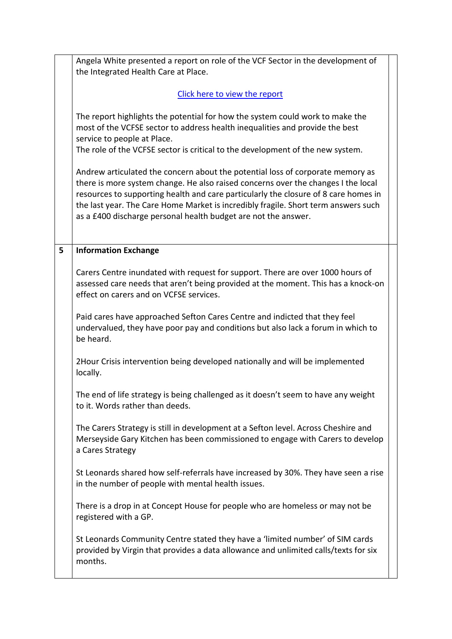|   | Angela White presented a report on role of the VCF Sector in the development of<br>the Integrated Health Care at Place.                                                                                                                                                                                                                                                                                            |
|---|--------------------------------------------------------------------------------------------------------------------------------------------------------------------------------------------------------------------------------------------------------------------------------------------------------------------------------------------------------------------------------------------------------------------|
|   | Click here to view the report                                                                                                                                                                                                                                                                                                                                                                                      |
|   | The report highlights the potential for how the system could work to make the<br>most of the VCFSE sector to address health inequalities and provide the best<br>service to people at Place.<br>The role of the VCFSE sector is critical to the development of the new system.                                                                                                                                     |
|   | Andrew articulated the concern about the potential loss of corporate memory as<br>there is more system change. He also raised concerns over the changes I the local<br>resources to supporting health and care particularly the closure of 8 care homes in<br>the last year. The Care Home Market is incredibly fragile. Short term answers such<br>as a £400 discharge personal health budget are not the answer. |
| 5 | <b>Information Exchange</b>                                                                                                                                                                                                                                                                                                                                                                                        |
|   | Carers Centre inundated with request for support. There are over 1000 hours of<br>assessed care needs that aren't being provided at the moment. This has a knock-on<br>effect on carers and on VCFSE services.                                                                                                                                                                                                     |
|   | Paid cares have approached Sefton Cares Centre and indicted that they feel<br>undervalued, they have poor pay and conditions but also lack a forum in which to<br>be heard.                                                                                                                                                                                                                                        |
|   | 2Hour Crisis intervention being developed nationally and will be implemented<br>locally.                                                                                                                                                                                                                                                                                                                           |
|   | The end of life strategy is being challenged as it doesn't seem to have any weight<br>to it. Words rather than deeds.                                                                                                                                                                                                                                                                                              |
|   | The Carers Strategy is still in development at a Sefton level. Across Cheshire and<br>Merseyside Gary Kitchen has been commissioned to engage with Carers to develop<br>a Cares Strategy                                                                                                                                                                                                                           |
|   | St Leonards shared how self-referrals have increased by 30%. They have seen a rise<br>in the number of people with mental health issues.                                                                                                                                                                                                                                                                           |
|   | There is a drop in at Concept House for people who are homeless or may not be<br>registered with a GP.                                                                                                                                                                                                                                                                                                             |
|   | St Leonards Community Centre stated they have a 'limited number' of SIM cards<br>provided by Virgin that provides a data allowance and unlimited calls/texts for six<br>months.                                                                                                                                                                                                                                    |